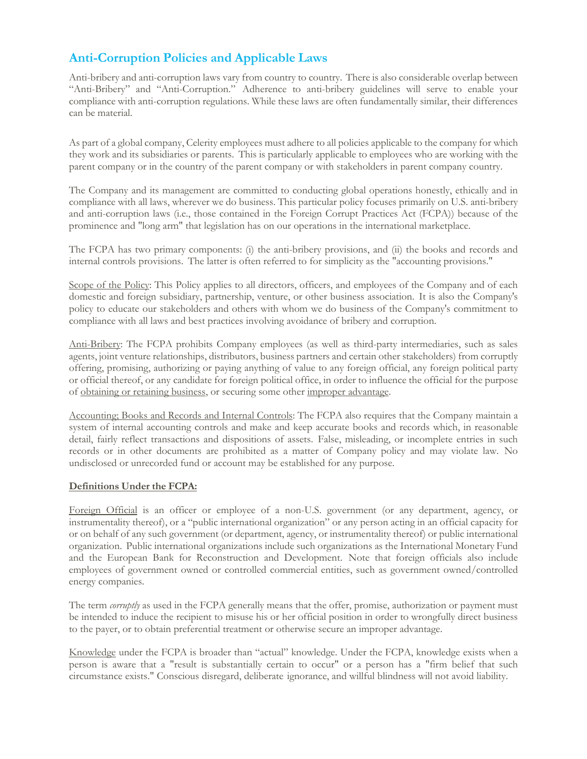# **Anti-Corruption Policies and Applicable Laws**

Anti-bribery and anti-corruption laws vary from country to country. There is also considerable overlap between "Anti-Bribery" and "Anti-Corruption." Adherence to anti-bribery guidelines will serve to enable your compliance with anti-corruption regulations. While these laws are often fundamentally similar, their differences can be material.

As part of a global company, Celerity employees must adhere to all policies applicable to the company for which they work and its subsidiaries or parents. This is particularly applicable to employees who are working with the parent company or in the country of the parent company or with stakeholders in parent company country.

The Company and its management are committed to conducting global operations honestly, ethically and in compliance with all laws, wherever we do business. This particular policy focuses primarily on U.S. anti-bribery and anti-corruption laws (i.e., those contained in the Foreign Corrupt Practices Act (FCPA)) because of the prominence and "long arm" that legislation has on our operations in the international marketplace.

The FCPA has two primary components: (i) the anti-bribery provisions, and (ii) the books and records and internal controls provisions. The latter is often referred to for simplicity as the "accounting provisions."

Scope of the Policy: This Policy applies to all directors, officers, and employees of the Company and of each domestic and foreign subsidiary, partnership, venture, or other business association. It is also the Company's policy to educate our stakeholders and others with whom we do business of the Company's commitment to compliance with all laws and best practices involving avoidance of bribery and corruption.

Anti-Bribery: The FCPA prohibits Company employees (as well as third-party intermediaries, such as sales agents, joint venture relationships, distributors, business partners and certain other stakeholders) from corruptly offering, promising, authorizing or paying anything of value to any foreign official, any foreign political party or official thereof, or any candidate for foreign political office, in order to influence the official for the purpose of obtaining or retaining business, or securing some other improper advantage.

Accounting; Books and Records and Internal Controls: The FCPA also requires that the Company maintain a system of internal accounting controls and make and keep accurate books and records which, in reasonable detail, fairly reflect transactions and dispositions of assets. False, misleading, or incomplete entries in such records or in other documents are prohibited as a matter of Company policy and may violate law. No undisclosed or unrecorded fund or account may be established for any purpose.

# **Definitions Under the FCPA:**

Foreign Official is an officer or employee of a non-U.S. government (or any department, agency, or instrumentality thereof), or a "public international organization" or any person acting in an official capacity for or on behalf of any such government (or department, agency, or instrumentality thereof) or public international organization. Public international organizations include such organizations as the International Monetary Fund and the European Bank for Reconstruction and Development. Note that foreign officials also include employees of government owned or controlled commercial entities, such as government owned/controlled energy companies.

The term *corruptly* as used in the FCPA generally means that the offer, promise, authorization or payment must be intended to induce the recipient to misuse his or her official position in order to wrongfully direct business to the payer, or to obtain preferential treatment or otherwise secure an improper advantage.

Knowledge under the FCPA is broader than "actual" knowledge. Under the FCPA, knowledge exists when a person is aware that a "result is substantially certain to occur" or a person has a "firm belief that such circumstance exists." Conscious disregard, deliberate ignorance, and willful blindness will not avoid liability.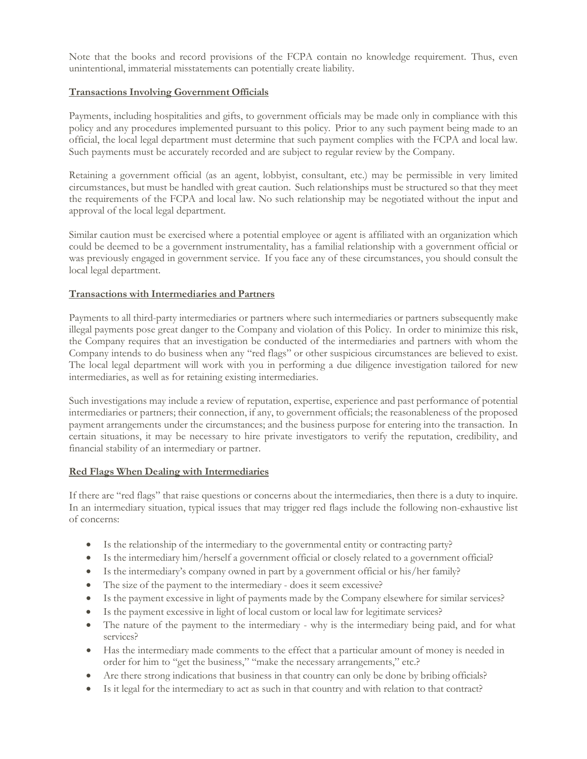Note that the books and record provisions of the FCPA contain no knowledge requirement. Thus, even unintentional, immaterial misstatements can potentially create liability.

# **Transactions Involving Government Officials**

Payments, including hospitalities and gifts, to government officials may be made only in compliance with this policy and any procedures implemented pursuant to this policy. Prior to any such payment being made to an official, the local legal department must determine that such payment complies with the FCPA and local law. Such payments must be accurately recorded and are subject to regular review by the Company.

Retaining a government official (as an agent, lobbyist, consultant, etc.) may be permissible in very limited circumstances, but must be handled with great caution. Such relationships must be structured so that they meet the requirements of the FCPA and local law. No such relationship may be negotiated without the input and approval of the local legal department.

Similar caution must be exercised where a potential employee or agent is affiliated with an organization which could be deemed to be a government instrumentality, has a familial relationship with a government official or was previously engaged in government service. If you face any of these circumstances, you should consult the local legal department.

# **Transactions with Intermediaries and Partners**

Payments to all third-party intermediaries or partners where such intermediaries or partners subsequently make illegal payments pose great danger to the Company and violation of this Policy. In order to minimize this risk, the Company requires that an investigation be conducted of the intermediaries and partners with whom the Company intends to do business when any "red flags" or other suspicious circumstances are believed to exist. The local legal department will work with you in performing a due diligence investigation tailored for new intermediaries, as well as for retaining existing intermediaries.

Such investigations may include a review of reputation, expertise, experience and past performance of potential intermediaries or partners; their connection, if any, to government officials; the reasonableness of the proposed payment arrangements under the circumstances; and the business purpose for entering into the transaction. In certain situations, it may be necessary to hire private investigators to verify the reputation, credibility, and financial stability of an intermediary or partner.

# **Red Flags When Dealing with Intermediaries**

If there are "red flags" that raise questions or concerns about the intermediaries, then there is a duty to inquire. In an intermediary situation, typical issues that may trigger red flags include the following non-exhaustive list of concerns:

- Is the relationship of the intermediary to the governmental entity or contracting party?
- Is the intermediary him/herself a government official or closely related to a government official?
- Is the intermediary's company owned in part by a government official or his/her family?
- The size of the payment to the intermediary does it seem excessive?
- Is the payment excessive in light of payments made by the Company elsewhere for similar services?
- Is the payment excessive in light of local custom or local law for legitimate services?
- The nature of the payment to the intermediary why is the intermediary being paid, and for what services?
- Has the intermediary made comments to the effect that a particular amount of money is needed in order for him to "get the business," "make the necessary arrangements," etc.?
- Are there strong indications that business in that country can only be done by bribing officials?
- Is it legal for the intermediary to act as such in that country and with relation to that contract?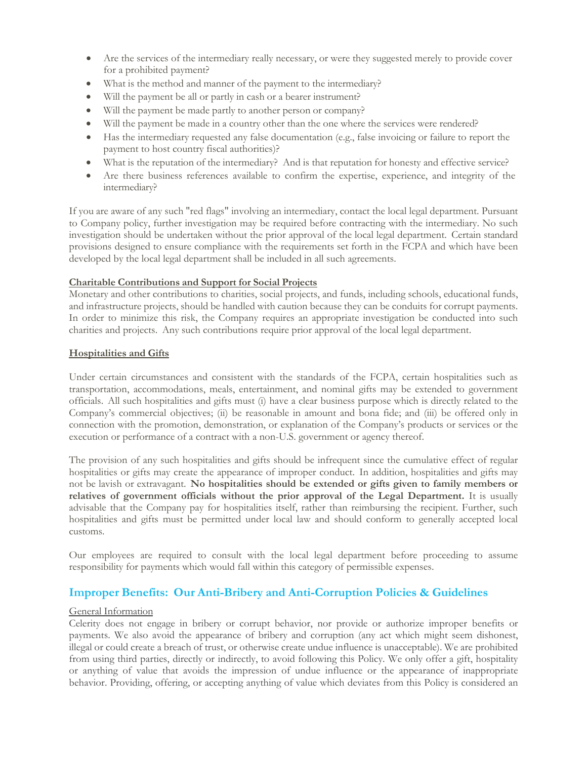- Are the services of the intermediary really necessary, or were they suggested merely to provide cover for a prohibited payment?
- What is the method and manner of the payment to the intermediary?
- Will the payment be all or partly in cash or a bearer instrument?
- Will the payment be made partly to another person or company?
- Will the payment be made in a country other than the one where the services were rendered?
- Has the intermediary requested any false documentation (e.g., false invoicing or failure to report the payment to host country fiscal authorities)?
- What is the reputation of the intermediary? And is that reputation for honesty and effective service?
- Are there business references available to confirm the expertise, experience, and integrity of the intermediary?

If you are aware of any such "red flags" involving an intermediary, contact the local legal department. Pursuant to Company policy, further investigation may be required before contracting with the intermediary. No such investigation should be undertaken without the prior approval of the local legal department. Certain standard provisions designed to ensure compliance with the requirements set forth in the FCPA and which have been developed by the local legal department shall be included in all such agreements.

# **Charitable Contributions and Support for Social Projects**

Monetary and other contributions to charities, social projects, and funds, including schools, educational funds, and infrastructure projects, should be handled with caution because they can be conduits for corrupt payments. In order to minimize this risk, the Company requires an appropriate investigation be conducted into such charities and projects. Any such contributions require prior approval of the local legal department.

#### **Hospitalities and Gifts**

Under certain circumstances and consistent with the standards of the FCPA, certain hospitalities such as transportation, accommodations, meals, entertainment, and nominal gifts may be extended to government officials. All such hospitalities and gifts must (i) have a clear business purpose which is directly related to the Company's commercial objectives; (ii) be reasonable in amount and bona fide; and (iii) be offered only in connection with the promotion, demonstration, or explanation of the Company's products or services or the execution or performance of a contract with a non-U.S. government or agency thereof.

The provision of any such hospitalities and gifts should be infrequent since the cumulative effect of regular hospitalities or gifts may create the appearance of improper conduct. In addition, hospitalities and gifts may not be lavish or extravagant. **No hospitalities should be extended or gifts given to family members or relatives of government officials without the prior approval of the Legal Department.** It is usually advisable that the Company pay for hospitalities itself, rather than reimbursing the recipient. Further, such hospitalities and gifts must be permitted under local law and should conform to generally accepted local customs.

Our employees are required to consult with the local legal department before proceeding to assume responsibility for payments which would fall within this category of permissible expenses.

# **Improper Benefits: Our Anti-Bribery and Anti-Corruption Policies & Guidelines**

#### General Information

Celerity does not engage in bribery or corrupt behavior, nor provide or authorize improper benefits or payments. We also avoid the appearance of bribery and corruption (any act which might seem dishonest, illegal or could create a breach of trust, or otherwise create undue influence is unacceptable). We are prohibited from using third parties, directly or indirectly, to avoid following this Policy. We only offer a gift, hospitality or anything of value that avoids the impression of undue influence or the appearance of inappropriate behavior. Providing, offering, or accepting anything of value which deviates from this Policy is considered an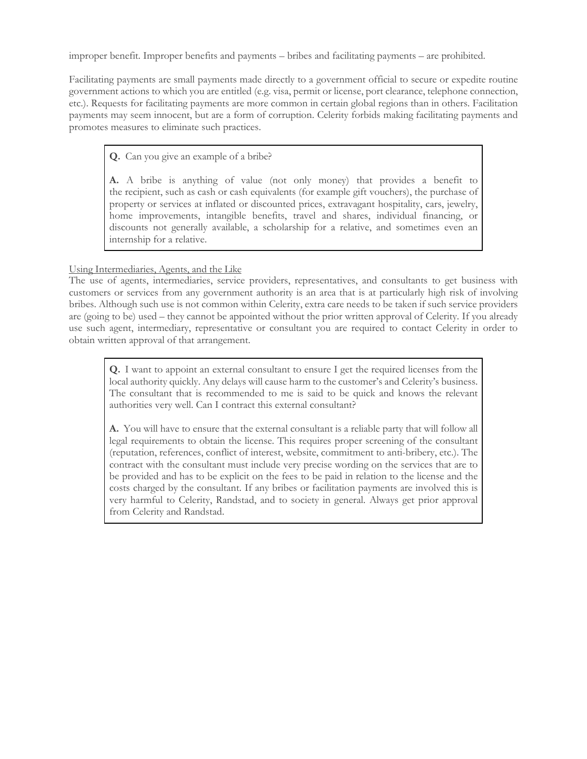improper benefit. Improper benefits and payments – bribes and facilitating payments – are prohibited.

Facilitating payments are small payments made directly to a government official to secure or expedite routine government actions to which you are entitled (e.g. visa, permit or license, port clearance, telephone connection, etc.). Requests for facilitating payments are more common in certain global regions than in others. Facilitation payments may seem innocent, but are a form of corruption. Celerity forbids making facilitating payments and promotes measures to eliminate such practices.

**Q.** Can you give an example of a bribe?

**A.** A bribe is anything of value (not only money) that provides a benefit to the recipient, such as cash or cash equivalents (for example gift vouchers), the purchase of property or services at inflated or discounted prices, extravagant hospitality, cars, jewelry, home improvements, intangible benefits, travel and shares, individual financing, or discounts not generally available, a scholarship for a relative, and sometimes even an internship for a relative.

# Using Intermediaries, Agents, and the Like

The use of agents, intermediaries, service providers, representatives, and consultants to get business with customers or services from any government authority is an area that is at particularly high risk of involving bribes. Although such use is not common within Celerity, extra care needs to be taken if such service providers are (going to be) used – they cannot be appointed without the prior written approval of Celerity. If you already use such agent, intermediary, representative or consultant you are required to contact Celerity in order to obtain written approval of that arrangement.

**Q.** I want to appoint an external consultant to ensure I get the required licenses from the local authority quickly. Any delays will cause harm to the customer's and Celerity's business. The consultant that is recommended to me is said to be quick and knows the relevant authorities very well. Can I contract this external consultant?

**A.** You will have to ensure that the external consultant is a reliable party that will follow all legal requirements to obtain the license. This requires proper screening of the consultant (reputation, references, conflict of interest, website, commitment to anti-bribery, etc.). The contract with the consultant must include very precise wording on the services that are to be provided and has to be explicit on the fees to be paid in relation to the license and the costs charged by the consultant. If any bribes or facilitation payments are involved this is very harmful to Celerity, Randstad, and to society in general. Always get prior approval from Celerity and Randstad.